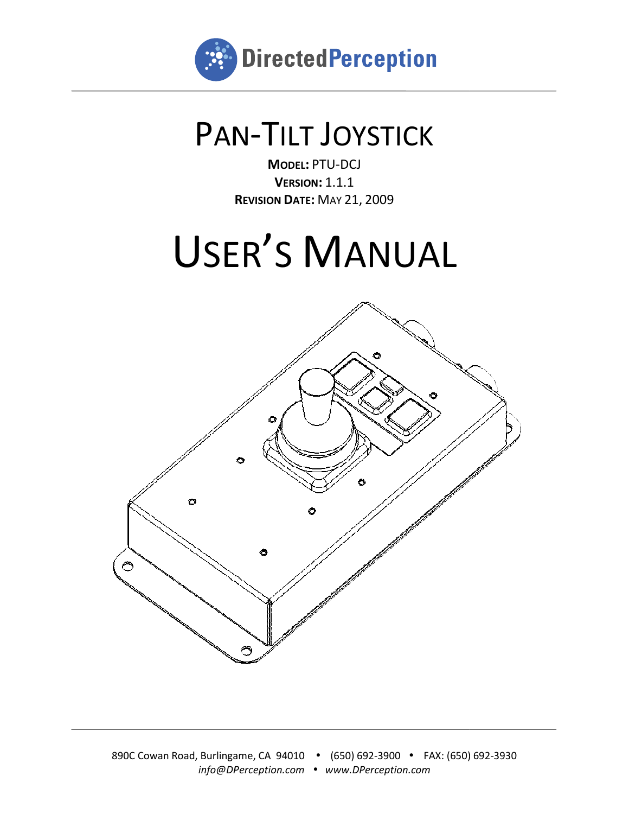

## PAN-TILT JOYSTICK

**R EVISION DATE:** MAY 21, 2009 **MODEL:** PTU-DCJ **VERSION:** 1.1.1

# USER 'S MANUAL

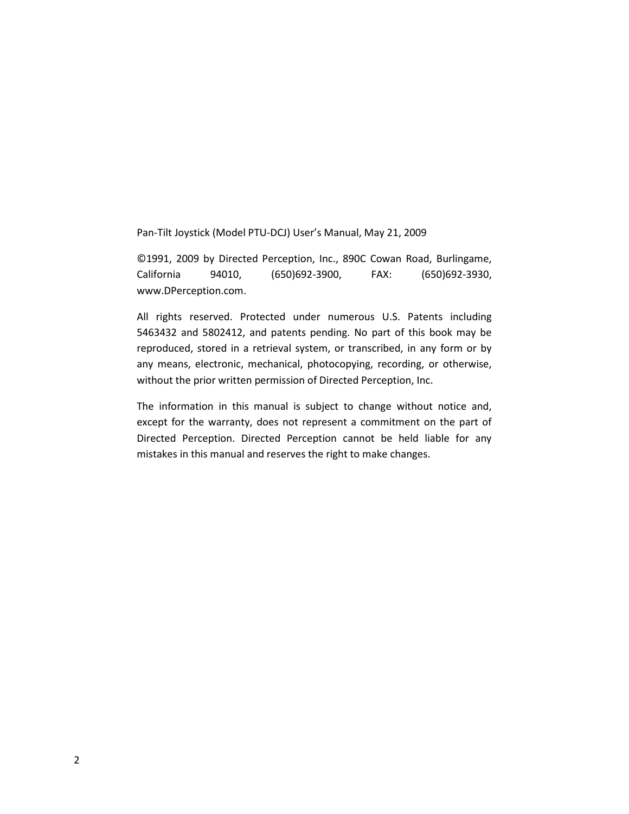Pan-Tilt Joystick (Model PTU-DCJ) User's Manual, May 21, 2009

©1991, 2009 by Directed Perception, Inc., 890C Cowan Road, Burlingame, California 94010, (650)692-3900, FAX: (650)692-3930, www.DPerception.com.

All rights reserved. Protected under numerous U.S. Patents including 5463432 and 5802412, and patents pending. No part of this book may be reproduced, stored in a retrieval system, or transcribed, in any form or by any means, electronic, mechanical, photocopying, recording, or otherwise, without the prior written permission of Directed Perception, Inc.

The information in this manual is subject to change without notice and, except for the warranty, does not represent a commitment on the part of Directed Perception. Directed Perception cannot be held liable for any mistakes in this manual and reserves the right to make changes.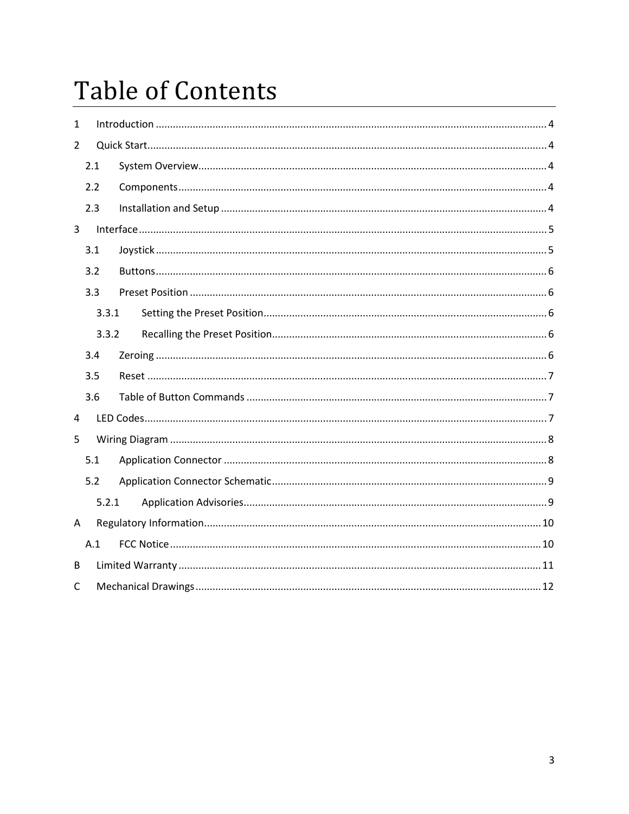## Table of Contents

| 1              |       |  |  |
|----------------|-------|--|--|
| $\overline{2}$ |       |  |  |
|                | 2.1   |  |  |
|                | 2.2   |  |  |
|                | 2.3   |  |  |
| $\overline{3}$ |       |  |  |
|                | 3.1   |  |  |
|                | 3.2   |  |  |
|                | 3.3   |  |  |
|                | 3.3.1 |  |  |
|                | 3.3.2 |  |  |
|                | 3.4   |  |  |
|                | 3.5   |  |  |
|                | 3.6   |  |  |
| $\overline{4}$ |       |  |  |
| 5              |       |  |  |
|                | 5.1   |  |  |
|                | 5.2   |  |  |
|                | 5.2.1 |  |  |
| A              |       |  |  |
|                | A.1   |  |  |
| B              |       |  |  |
| $\mathsf{C}$   |       |  |  |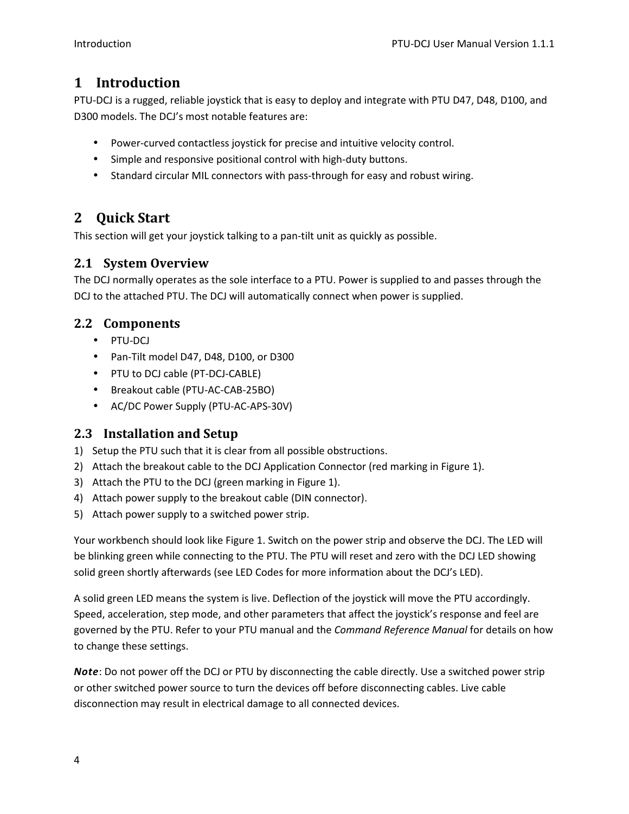#### **1 Introduction**

PTU-DCJ is a rugged, reliable joystick that is easy to deploy and integrate with PTU D47, D48, D100, and D300 models. The DCJ's most notable features are:

- Power-curved contactless joystick for precise and intuitive velocity control.
- Simple and responsive positional control with high-duty buttons.
- Standard circular MIL connectors with pass-through for easy and robust wiring.

#### **2 Quick Start**

This section will get your joystick talking to a pan-tilt unit as quickly as possible.

#### **2.1 System Overview**

The DCJ normally operates as the sole interface to a PTU. Power is supplied to and passes through the DCJ to the attached PTU. The DCJ will automatically connect when power is supplied.

#### **2.2 Components**

- PTU-DCJ
- Pan-Tilt model D47, D48, D100, or D300
- PTU to DCJ cable (PT-DCJ-CABLE)
- Breakout cable (PTU-AC-CAB-25BO)
- AC/DC Power Supply (PTU-AC-APS-30V)

#### **2.3 Installation and Setup**

- 1) Setup the PTU such that it is clear from all possible obstructions.
- 2) Attach the breakout cable to the DCJ Application Connector (red marking in Figure 1).
- 3) Attach the PTU to the DCJ (green marking in Figure 1).
- 4) Attach power supply to the breakout cable (DIN connector).
- 5) Attach power supply to a switched power strip.

Your workbench should look like Figure 1. Switch on the power strip and observe the DCJ. The LED will be blinking green while connecting to the PTU. The PTU will reset and zero with the DCJ LED showing solid green shortly afterwards (see LED Codes for more information about the DCJ's LED).

A solid green LED means the system is live. Deflection of the joystick will move the PTU accordingly. Speed, acceleration, step mode, and other parameters that affect the joystick's response and feel are governed by the PTU. Refer to your PTU manual and the *Command Reference Manual* for details on how to change these settings.

*Note*: Do not power off the DCJ or PTU by disconnecting the cable directly. Use a switched power strip or other switched power source to turn the devices off before disconnecting cables. Live cable disconnection may result in electrical damage to all connected devices.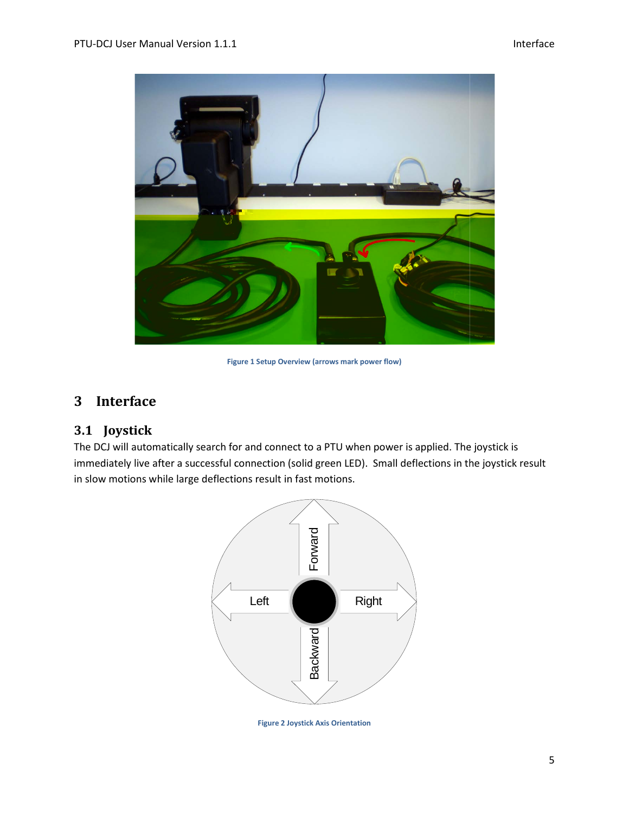

**Figure 1 Setup Overview (arrows mark power flow)** 

#### **3 Interface**

#### **3.1 Joystick**

The DCJ will automatically search for and connect to a PTU when power is applied. The joystick is The DCJ will automatically search for and connect to a PTU when power is applied. The joystick is<br>immediately live after a successful connection (solid green LED). Small deflections in the joystick result in slow motions while large deflections result in fast motions.



**Figure 2 Joystick Axis Orientation**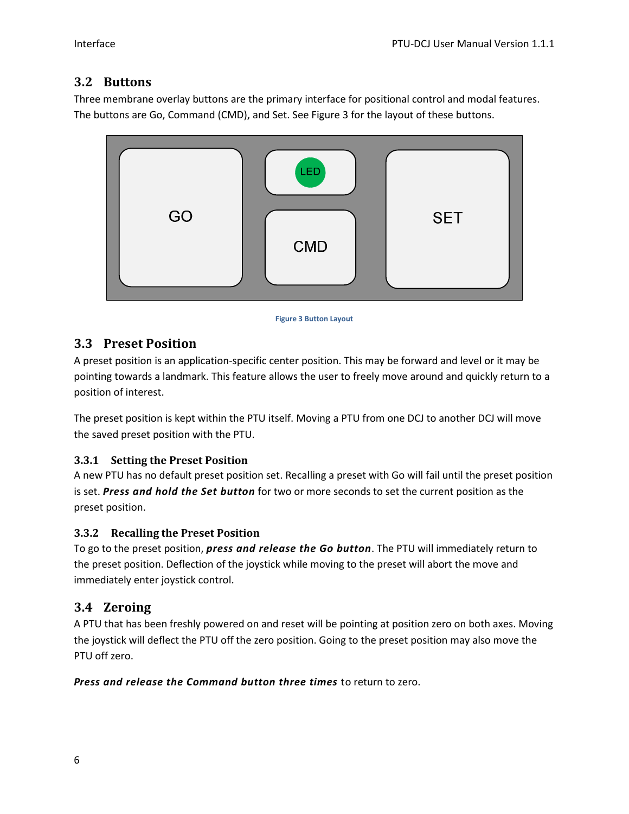#### **3.2 Buttons**

Three membrane overlay buttons are the primary interface for positional control and modal features. The buttons are Go, Command (CMD), and Set. See Figure 3 for the layout of these buttons.



#### **Figure 3 Button Layout**

#### **3.3 Preset Position**

A preset position is an application-specific center position. This may be forward and level or it may be pointing towards a landmark. This feature allows the user to freely move around and quickly return to a position of interest.

The preset position is kept within the PTU itself. Moving a PTU from one DCJ to another DCJ will move the saved preset position with the PTU.

#### **3.3.1 Setting the Preset Position**

A new PTU has no default preset position set. Recalling a preset with Go will fail until the preset position is set. *Press and hold the Set button* for two or more seconds to set the current position as the preset position.

#### **3.3.2 Recalling the Preset Position**

To go to the preset position, *press and release the Go button*. The PTU will immediately return to the preset position. Deflection of the joystick while moving to the preset will abort the move and immediately enter joystick control.

#### **3.4 Zeroing**

A PTU that has been freshly powered on and reset will be pointing at position zero on both axes. Moving the joystick will deflect the PTU off the zero position. Going to the preset position may also move the PTU off zero.

#### *Press and release the Command button three times* to return to zero.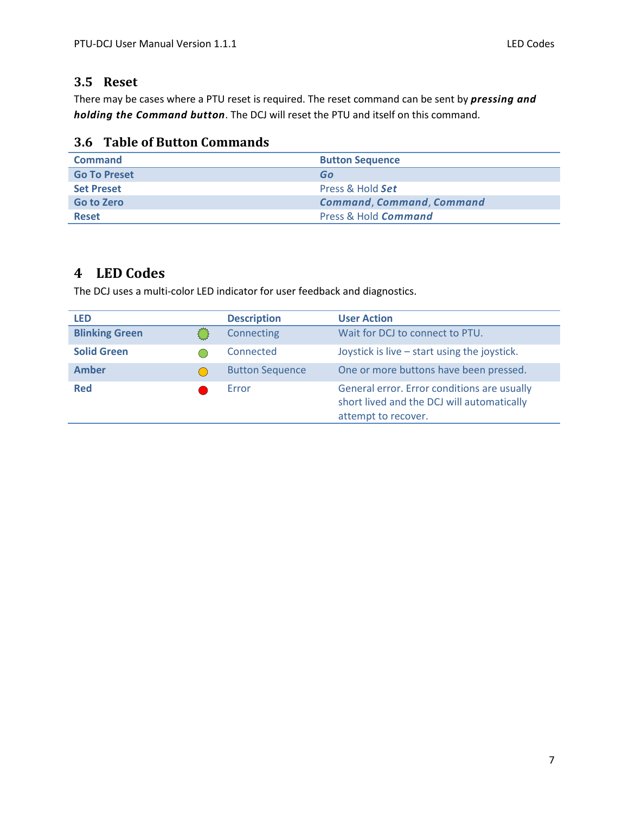#### **3.5 Reset**

There may be cases where a PTU reset is required. The reset command can be sent by *pressing and holding the Command button*. The DCJ will reset the PTU and itself on this command.

#### **3.6 Table of Button Commands**

| <b>Command</b>      | <b>Button Sequence</b>           |  |
|---------------------|----------------------------------|--|
| <b>Go To Preset</b> | Go                               |  |
| <b>Set Preset</b>   | Press & Hold Set                 |  |
| <b>Go to Zero</b>   | <b>Command, Command, Command</b> |  |
| <b>Reset</b>        | Press & Hold Command             |  |

#### **4 LED Codes**

The DCJ uses a multi-color LED indicator for user feedback and diagnostics.

| LED                   |  | <b>Description</b>     | <b>User Action</b>                                                                                               |
|-----------------------|--|------------------------|------------------------------------------------------------------------------------------------------------------|
| <b>Blinking Green</b> |  | Connecting             | Wait for DCJ to connect to PTU.                                                                                  |
| <b>Solid Green</b>    |  | Connected              | Joystick is live $-$ start using the joystick.                                                                   |
| Amber                 |  | <b>Button Sequence</b> | One or more buttons have been pressed.                                                                           |
| <b>Red</b>            |  | Error                  | General error. Error conditions are usually<br>short lived and the DCJ will automatically<br>attempt to recover. |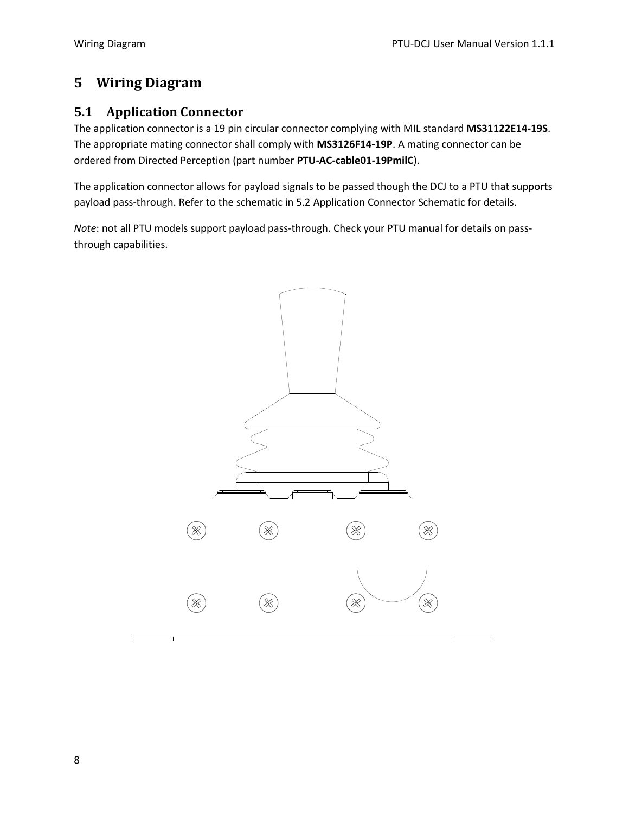#### **5 Wiring Diagram**

#### **5.1 Application Connector**

The application connector is a 19 pin circular connector complying with MIL standard **MS31122E14-19S**. The appropriate mating connector shall comply with **MS3126F14-19P**. A mating connector can be ordered from Directed Perception (part number **PTU-AC-cable01-19PmilC**).

The application connector allows for payload signals to be passed though the DCJ to a PTU that supports payload pass-through. Refer to the schematic in 5.2 Application Connector Schematic for details.

*Note*: not all PTU models support payload pass-through. Check your PTU manual for details on passthrough capabilities.

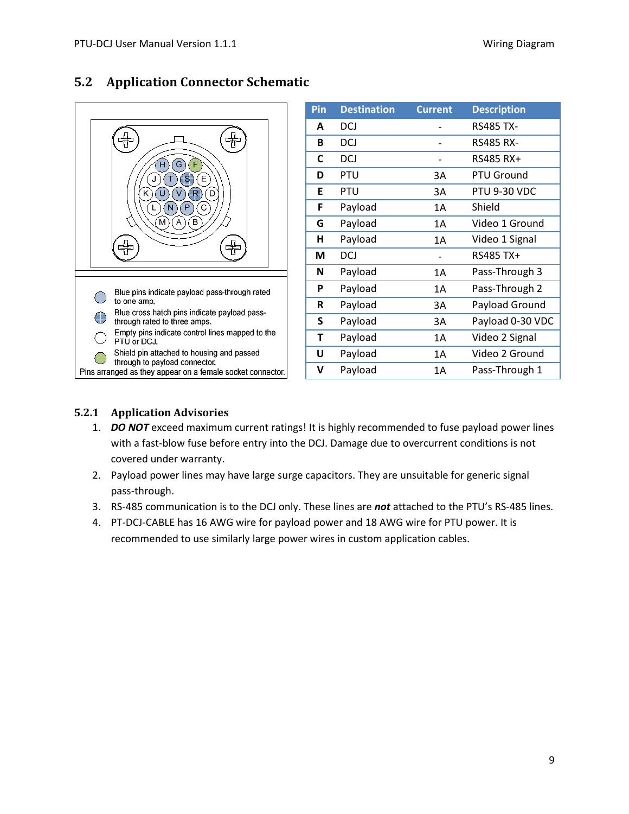

| 5.2 | <b>Application Connector Schematic</b> |  |
|-----|----------------------------------------|--|
|-----|----------------------------------------|--|

| Pin | <b>Destination</b> | <b>Current</b> | <b>Description</b>  |
|-----|--------------------|----------------|---------------------|
| A   | DCJ                |                | <b>RS485 TX-</b>    |
| В   | DCJ                |                | <b>RS485 RX-</b>    |
| C   | DCJ                |                | RS485 RX+           |
| D   | PTU                | 3A             | PTU Ground          |
| E   | PTU                | 3A             | <b>PTU 9-30 VDC</b> |
| F   | Payload            | 1A             | Shield              |
| G   | Payload            | 1Α             | Video 1 Ground      |
| н   | Payload            | 1Α             | Video 1 Signal      |
| M   | DCJ                |                | RS485 TX+           |
| N   | Payload            | 1A             | Pass-Through 3      |
| P   | Payload            | 1A             | Pass-Through 2      |
| R   | Payload            | 3A             | Payload Ground      |
| S   | Payload            | 3A             | Payload 0-30 VDC    |
| т   | Payload            | 1A             | Video 2 Signal      |
| U   | Payload            | 1A             | Video 2 Ground      |
| v   | Payload            | 1Α             | Pass-Through 1      |

#### **5.2.1 Application Advisories**

- 1. *DO NOT* exceed maximum current ratings! It is highly recommended to fuse payload power lines with a fast-blow fuse before entry into the DCJ. Damage due to overcurrent conditions is not covered under warranty.
- 2. Payload power lines may have large surge capacitors. They are unsuitable for generic signal pass-through.
- 3. RS-485 communication is to the DCJ only. These lines are *not* attached to the PTU's RS-485 lines.
- 4. PT-DCJ-CABLE has 16 AWG wire for payload power and 18 AWG wire for PTU power. It is recommended to use similarly large power wires in custom application cables.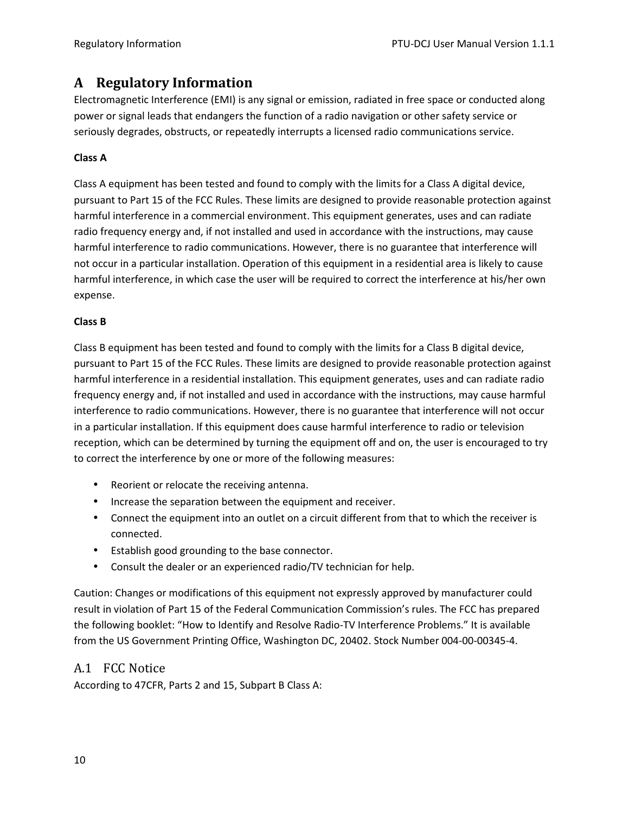#### **A Regulatory Information**

Electromagnetic Interference (EMI) is any signal or emission, radiated in free space or conducted along power or signal leads that endangers the function of a radio navigation or other safety service or seriously degrades, obstructs, or repeatedly interrupts a licensed radio communications service.

#### **Class A**

Class A equipment has been tested and found to comply with the limits for a Class A digital device, pursuant to Part 15 of the FCC Rules. These limits are designed to provide reasonable protection against harmful interference in a commercial environment. This equipment generates, uses and can radiate radio frequency energy and, if not installed and used in accordance with the instructions, may cause harmful interference to radio communications. However, there is no guarantee that interference will not occur in a particular installation. Operation of this equipment in a residential area is likely to cause harmful interference, in which case the user will be required to correct the interference at his/her own expense.

#### **Class B**

Class B equipment has been tested and found to comply with the limits for a Class B digital device, pursuant to Part 15 of the FCC Rules. These limits are designed to provide reasonable protection against harmful interference in a residential installation. This equipment generates, uses and can radiate radio frequency energy and, if not installed and used in accordance with the instructions, may cause harmful interference to radio communications. However, there is no guarantee that interference will not occur in a particular installation. If this equipment does cause harmful interference to radio or television reception, which can be determined by turning the equipment off and on, the user is encouraged to try to correct the interference by one or more of the following measures:

- Reorient or relocate the receiving antenna.
- Increase the separation between the equipment and receiver.
- Connect the equipment into an outlet on a circuit different from that to which the receiver is connected.
- Establish good grounding to the base connector.
- Consult the dealer or an experienced radio/TV technician for help.

Caution: Changes or modifications of this equipment not expressly approved by manufacturer could result in violation of Part 15 of the Federal Communication Commission's rules. The FCC has prepared the following booklet: "How to Identify and Resolve Radio-TV Interference Problems." It is available from the US Government Printing Office, Washington DC, 20402. Stock Number 004-00-00345-4.

#### A.1 FCC Notice

According to 47CFR, Parts 2 and 15, Subpart B Class A: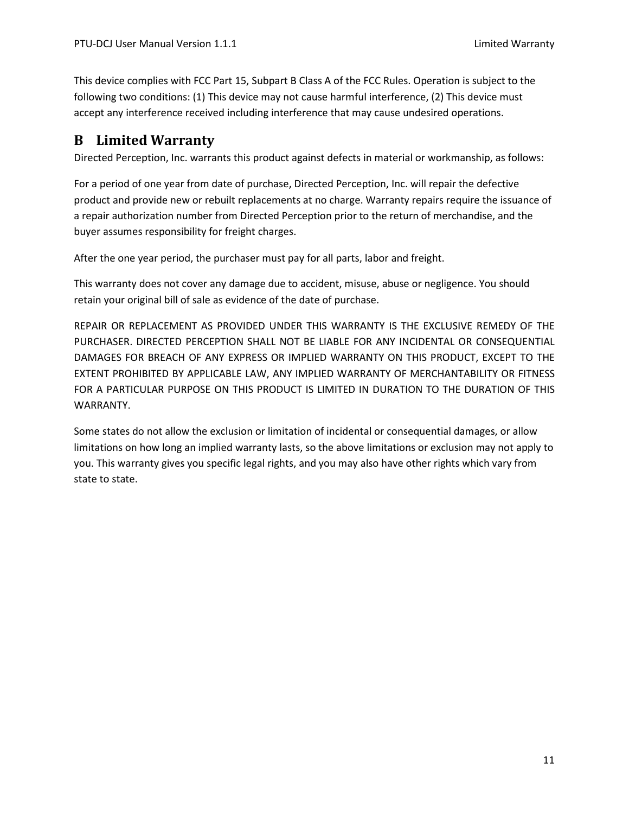This device complies with FCC Part 15, Subpart B Class A of the FCC Rules. Operation is subject to the following two conditions: (1) This device may not cause harmful interference, (2) This device must accept any interference received including interference that may cause undesired operations.

#### **B Limited Warranty**

Directed Perception, Inc. warrants this product against defects in material or workmanship, as follows:

For a period of one year from date of purchase, Directed Perception, Inc. will repair the defective product and provide new or rebuilt replacements at no charge. Warranty repairs require the issuance of a repair authorization number from Directed Perception prior to the return of merchandise, and the buyer assumes responsibility for freight charges.

After the one year period, the purchaser must pay for all parts, labor and freight.

This warranty does not cover any damage due to accident, misuse, abuse or negligence. You should retain your original bill of sale as evidence of the date of purchase.

REPAIR OR REPLACEMENT AS PROVIDED UNDER THIS WARRANTY IS THE EXCLUSIVE REMEDY OF THE PURCHASER. DIRECTED PERCEPTION SHALL NOT BE LIABLE FOR ANY INCIDENTAL OR CONSEQUENTIAL DAMAGES FOR BREACH OF ANY EXPRESS OR IMPLIED WARRANTY ON THIS PRODUCT, EXCEPT TO THE EXTENT PROHIBITED BY APPLICABLE LAW, ANY IMPLIED WARRANTY OF MERCHANTABILITY OR FITNESS FOR A PARTICULAR PURPOSE ON THIS PRODUCT IS LIMITED IN DURATION TO THE DURATION OF THIS WARRANTY.

Some states do not allow the exclusion or limitation of incidental or consequential damages, or allow limitations on how long an implied warranty lasts, so the above limitations or exclusion may not apply to you. This warranty gives you specific legal rights, and you may also have other rights which vary from state to state.